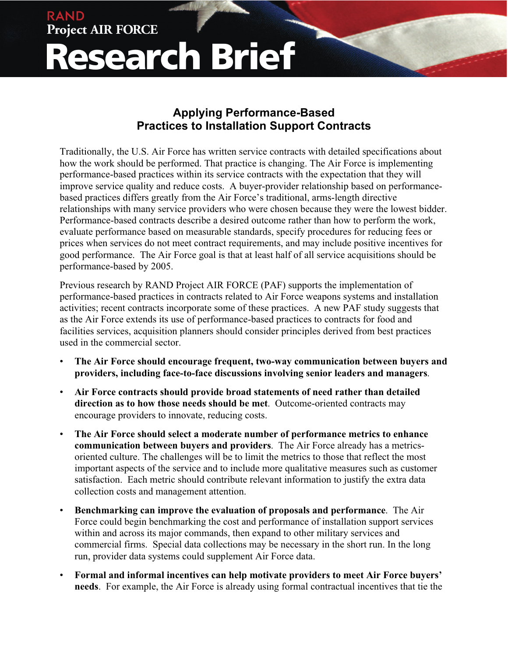## **Project AIR FORCE Research Brief**

RAND

## **Applying Performance-Based Practices to Installation Support Contracts**

Traditionally, the U.S. Air Force has written service contracts with detailed specifications about how the work should be performed. That practice is changing. The Air Force is implementing performance-based practices within its service contracts with the expectation that they will improve service quality and reduce costs. A buyer-provider relationship based on performancebased practices differs greatly from the Air Force's traditional, arms-length directive relationships with many service providers who were chosen because they were the lowest bidder. Performance-based contracts describe a desired outcome rather than how to perform the work, evaluate performance based on measurable standards, specify procedures for reducing fees or prices when services do not meet contract requirements, and may include positive incentives for good performance. The Air Force goal is that at least half of all service acquisitions should be performance-based by 2005.

Previous research by RAND Project AIR FORCE (PAF) supports the implementation of performance-based practices in contracts related to Air Force weapons systems and installation activities; recent contracts incorporate some of these practices. A new PAF study suggests that as the Air Force extends its use of performance-based practices to contracts for food and facilities services, acquisition planners should consider principles derived from best practices used in the commercial sector.

- **The Air Force should encourage frequent, two-way communication between buyers and providers, including face-to-face discussions involving senior leaders and managers**.
- **Air Force contracts should provide broad statements of need rather than detailed direction as to how those needs should be met**. Outcome-oriented contracts may encourage providers to innovate, reducing costs.
- **The Air Force should select a moderate number of performance metrics to enhance communication between buyers and providers**. The Air Force already has a metricsoriented culture. The challenges will be to limit the metrics to those that reflect the most important aspects of the service and to include more qualitative measures such as customer satisfaction. Each metric should contribute relevant information to justify the extra data collection costs and management attention.
- **Benchmarking can improve the evaluation of proposals and performance**. The Air Force could begin benchmarking the cost and performance of installation support services within and across its major commands, then expand to other military services and commercial firms. Special data collections may be necessary in the short run. In the long run, provider data systems could supplement Air Force data.
- **Formal and informal incentives can help motivate providers to meet Air Force buyers' needs**. For example, the Air Force is already using formal contractual incentives that tie the